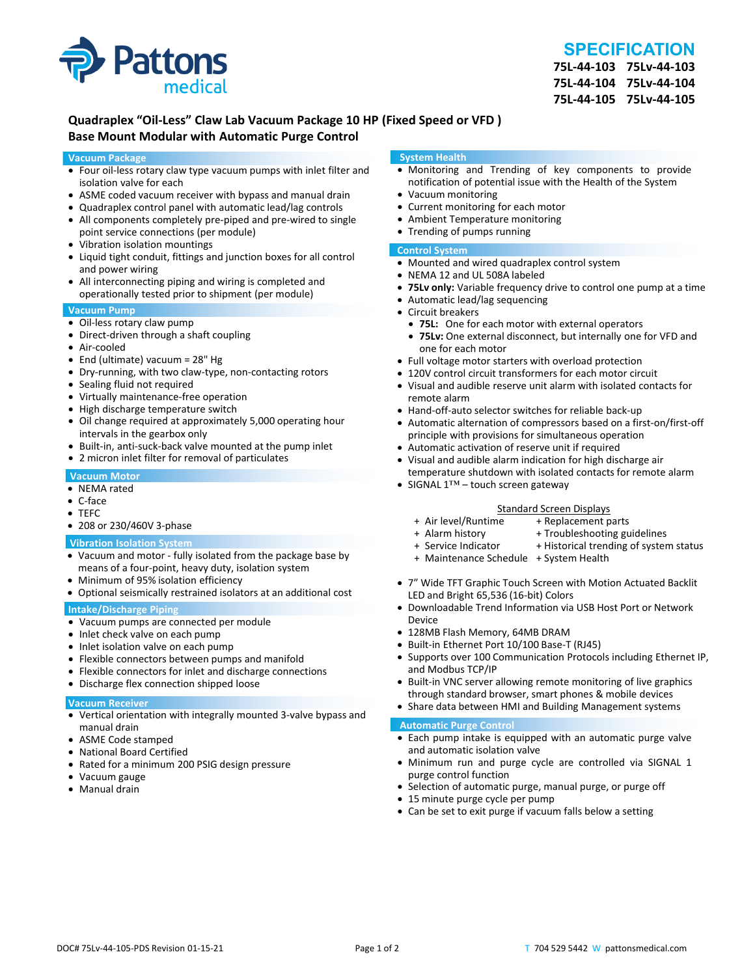

### **SPECIFICATION**

**75L‐44‐103 75Lv‐44‐103 75L‐44‐104 75Lv‐44‐104 75L‐44‐105 75Lv‐44‐105**

#### **Quadraplex "Oil‐Less" Claw Lab Vacuum Package 10 HP (Fixed Speed or VFD ) Base Mount Modular with Automatic Purge Control**

#### **Vacuum Package**

- Four oil‐less rotary claw type vacuum pumps with inlet filter and isolation valve for each
- ASME coded vacuum receiver with bypass and manual drain
- Quadraplex control panel with automatic lead/lag controls
- All components completely pre-piped and pre-wired to single point service connections (per module)
- Vibration isolation mountings
- Liquid tight conduit, fittings and junction boxes for all control and power wiring
- All interconnecting piping and wiring is completed and operationally tested prior to shipment (per module)

#### **Vacuum Pump**

- Oil-less rotary claw pump
- Direct-driven through a shaft coupling
- Air‐cooled
- End (ultimate) vacuum = 28" Hg
- Dry-running, with two claw-type, non-contacting rotors
- Sealing fluid not required
- Virtually maintenance-free operation
- High discharge temperature switch
- Oil change required at approximately 5,000 operating hour intervals in the gearbox only
- Built-in, anti-suck-back valve mounted at the pump inlet
- 2 micron inlet filter for removal of particulates

#### **Vacuum Motor**

- NEMA rated
- C‐face
- TEFC
- 208 or 230/460V 3-phase

#### **Vibration Isolation System**

- Vacuum and motor ‐ fully isolated from the package base by means of a four‐point, heavy duty, isolation system
- Minimum of 95% isolation efficiency
- Optional seismically restrained isolators at an additional cost

#### **Intake/Discharge Piping**

- Vacuum pumps are connected per module
- Inlet check valve on each pump
- Inlet isolation valve on each pump
- Flexible connectors between pumps and manifold
- Flexible connectors for inlet and discharge connections
- Discharge flex connection shipped loose

#### **Vacuum Receiver**

- Vertical orientation with integrally mounted 3‐valve bypass and manual drain
- ASME Code stamped
- National Board Certified
- Rated for a minimum 200 PSIG design pressure
- Vacuum gauge
- Manual drain

#### **System Health**

- Monitoring and Trending of key components to provide notification of potential issue with the Health of the System
- Vacuum monitoring
- Current monitoring for each motor
- Ambient Temperature monitoring
- Trending of pumps running

#### **Control System**

- Mounted and wired quadraplex control system
- NEMA 12 and UL 508A labeled
- **75Lv only:** Variable frequency drive to control one pump at a time
- Automatic lead/lag sequencing
- Circuit breakers
- **75L:** One for each motor with external operators
- **75Lv:** One external disconnect, but internally one for VFD and one for each motor
- Full voltage motor starters with overload protection
- 120V control circuit transformers for each motor circuit
- Visual and audible reserve unit alarm with isolated contacts for remote alarm
- Hand-off-auto selector switches for reliable back-up
- Automatic alternation of compressors based on a first-on/first-off principle with provisions for simultaneous operation
- Automatic activation of reserve unit if required
- Visual and audible alarm indication for high discharge air temperature shutdown with isolated contacts for remote alarm
- SIGNAL 1™ touch screen gateway

# Standard Screen Displays<br>Air level/Runtime + Replacement p +

- + Air level/Runtime + Replacement parts
- 
- + Troubleshooting guidelines
- + Service Indicator + Historical trending of system status
- + Maintenance Schedule + System Health
- 7" Wide TFT Graphic Touch Screen with Motion Actuated Backlit LED and Bright 65,536 (16‐bit) Colors
- Downloadable Trend Information via USB Host Port or Network Device
- 128MB Flash Memory, 64MB DRAM
- Built-in Ethernet Port 10/100 Base-T (RJ45)
- Supports over 100 Communication Protocols including Ethernet IP, and Modbus TCP/IP
- Built-in VNC server allowing remote monitoring of live graphics through standard browser, smart phones & mobile devices
- Share data between HMI and Building Management systems

#### **Automatic Purge Control**

- Each pump intake is equipped with an automatic purge valve and automatic isolation valve
- Minimum run and purge cycle are controlled via SIGNAL 1 purge control function
- Selection of automatic purge, manual purge, or purge off
- 15 minute purge cycle per pump
- Can be set to exit purge if vacuum falls below a setting